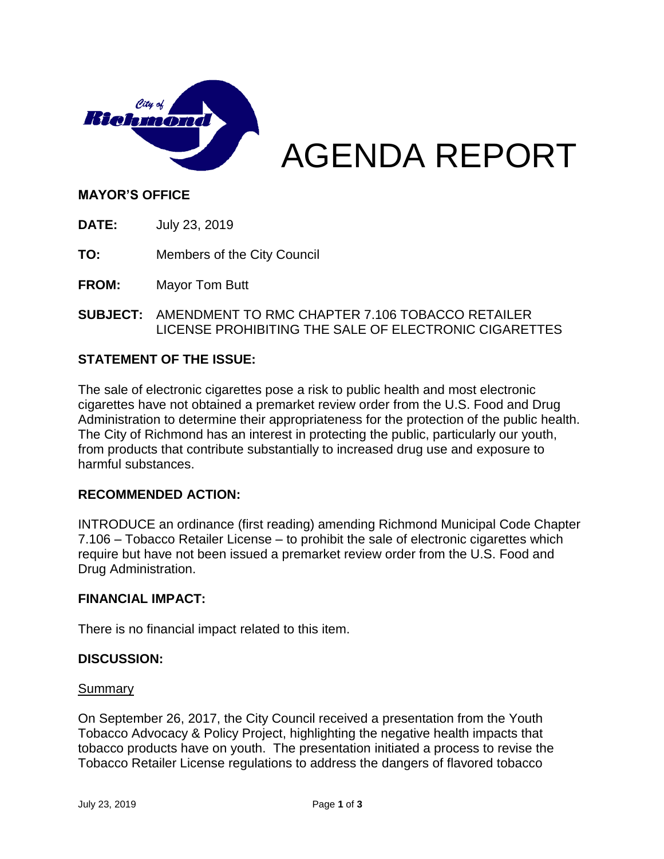

AGENDA REPORT

## **MAYOR'S OFFICE**

**DATE:** July 23, 2019

**TO:** Members of the City Council

**FROM:** Mayor Tom Butt

**SUBJECT:** AMENDMENT TO RMC CHAPTER 7.106 TOBACCO RETAILER LICENSE PROHIBITING THE SALE OF ELECTRONIC CIGARETTES

## **STATEMENT OF THE ISSUE:**

The sale of electronic cigarettes pose a risk to public health and most electronic cigarettes have not obtained a premarket review order from the U.S. Food and Drug Administration to determine their appropriateness for the protection of the public health. The City of Richmond has an interest in protecting the public, particularly our youth, from products that contribute substantially to increased drug use and exposure to harmful substances.

## **RECOMMENDED ACTION:**

INTRODUCE an ordinance (first reading) amending Richmond Municipal Code Chapter 7.106 – Tobacco Retailer License – to prohibit the sale of electronic cigarettes which require but have not been issued a premarket review order from the U.S. Food and Drug Administration.

## **FINANCIAL IMPACT:**

There is no financial impact related to this item.

## **DISCUSSION:**

#### **Summary**

On September 26, 2017, the City Council received a presentation from the Youth Tobacco Advocacy & Policy Project, highlighting the negative health impacts that tobacco products have on youth. The presentation initiated a process to revise the Tobacco Retailer License regulations to address the dangers of flavored tobacco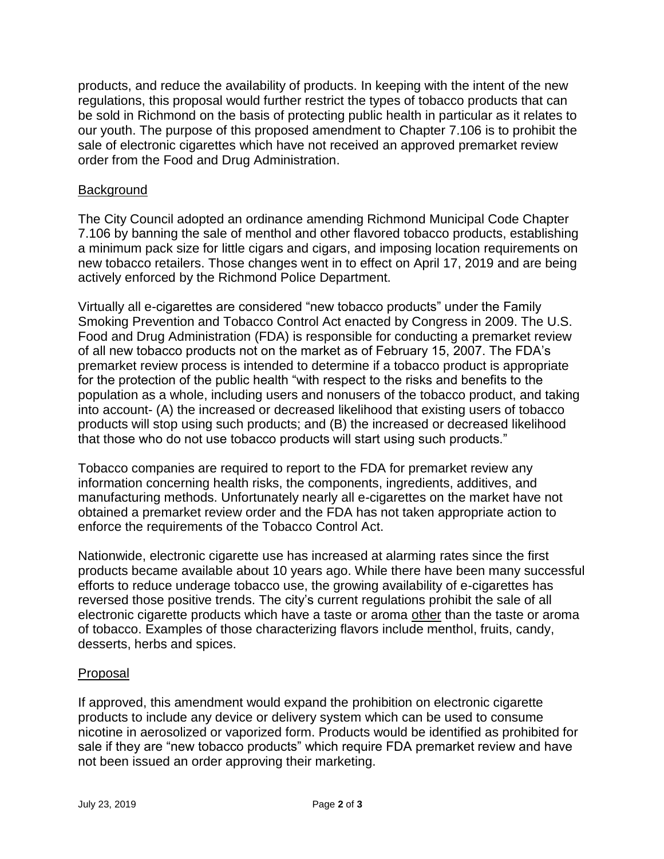products, and reduce the availability of products. In keeping with the intent of the new regulations, this proposal would further restrict the types of tobacco products that can be sold in Richmond on the basis of protecting public health in particular as it relates to our youth. The purpose of this proposed amendment to Chapter 7.106 is to prohibit the sale of electronic cigarettes which have not received an approved premarket review order from the Food and Drug Administration.

## **Background**

The City Council adopted an ordinance amending Richmond Municipal Code Chapter 7.106 by banning the sale of menthol and other flavored tobacco products, establishing a minimum pack size for little cigars and cigars, and imposing location requirements on new tobacco retailers. Those changes went in to effect on April 17, 2019 and are being actively enforced by the Richmond Police Department.

Virtually all e-cigarettes are considered "new tobacco products" under the Family Smoking Prevention and Tobacco Control Act enacted by Congress in 2009. The U.S. Food and Drug Administration (FDA) is responsible for conducting a premarket review of all new tobacco products not on the market as of February 15, 2007. The FDA's premarket review process is intended to determine if a tobacco product is appropriate for the protection of the public health "with respect to the risks and benefits to the population as a whole, including users and nonusers of the tobacco product, and taking into account- (A) the increased or decreased likelihood that existing users of tobacco products will stop using such products; and (B) the increased or decreased likelihood that those who do not use tobacco products will start using such products."

Tobacco companies are required to report to the FDA for premarket review any information concerning health risks, the components, ingredients, additives, and manufacturing methods. Unfortunately nearly all e-cigarettes on the market have not obtained a premarket review order and the FDA has not taken appropriate action to enforce the requirements of the Tobacco Control Act.

Nationwide, electronic cigarette use has increased at alarming rates since the first products became available about 10 years ago. While there have been many successful efforts to reduce underage tobacco use, the growing availability of e-cigarettes has reversed those positive trends. The city's current regulations prohibit the sale of all electronic cigarette products which have a taste or aroma other than the taste or aroma of tobacco. Examples of those characterizing flavors include menthol, fruits, candy, desserts, herbs and spices.

## Proposal

If approved, this amendment would expand the prohibition on electronic cigarette products to include any device or delivery system which can be used to consume nicotine in aerosolized or vaporized form. Products would be identified as prohibited for sale if they are "new tobacco products" which require FDA premarket review and have not been issued an order approving their marketing.